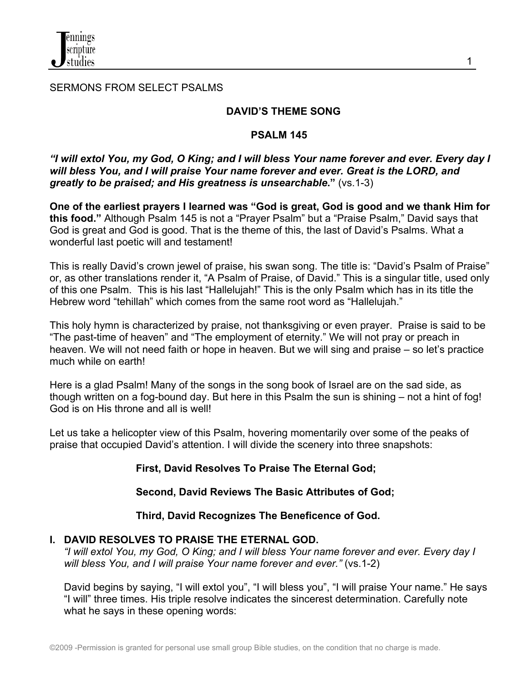

SERMONS FROM SELECT PSALMS

### **DAVID'S THEME SONG**

### **PSALM 145**

*"I will extol You, my God, O King; and I will bless Your name forever and ever. Every day I will bless You, and I will praise Your name forever and ever. Great is the LORD, and greatly to be praised; and His greatness is unsearchable***."** (vs.1-3)

**One of the earliest prayers I learned was "God is great, God is good and we thank Him for this food."** Although Psalm 145 is not a "Prayer Psalm" but a "Praise Psalm," David says that God is great and God is good. That is the theme of this, the last of David's Psalms. What a wonderful last poetic will and testament!

This is really David's crown jewel of praise, his swan song. The title is: "David's Psalm of Praise" or, as other translations render it, "A Psalm of Praise, of David." This is a singular title, used only of this one Psalm. This is his last "Hallelujah!" This is the only Psalm which has in its title the Hebrew word "tehillah" which comes from the same root word as "Hallelujah."

This holy hymn is characterized by praise, not thanksgiving or even prayer. Praise is said to be "The past-time of heaven" and "The employment of eternity." We will not pray or preach in heaven. We will not need faith or hope in heaven. But we will sing and praise – so let's practice much while on earth!

Here is a glad Psalm! Many of the songs in the song book of Israel are on the sad side, as though written on a fog-bound day. But here in this Psalm the sun is shining – not a hint of fog! God is on His throne and all is well!

Let us take a helicopter view of this Psalm, hovering momentarily over some of the peaks of praise that occupied David's attention. I will divide the scenery into three snapshots:

### **First, David Resolves To Praise The Eternal God;**

 **Second, David Reviews The Basic Attributes of God;**

# **Third, David Recognizes The Beneficence of God.**

### **I. DAVID RESOLVES TO PRAISE THE ETERNAL GOD.**

 *"I will extol You, my God, O King; and I will bless Your name forever and ever. Every day I will bless You, and I will praise Your name forever and ever."* (vs.1-2)

 David begins by saying, "I will extol you", "I will bless you", "I will praise Your name." He says "I will" three times. His triple resolve indicates the sincerest determination. Carefully note what he says in these opening words: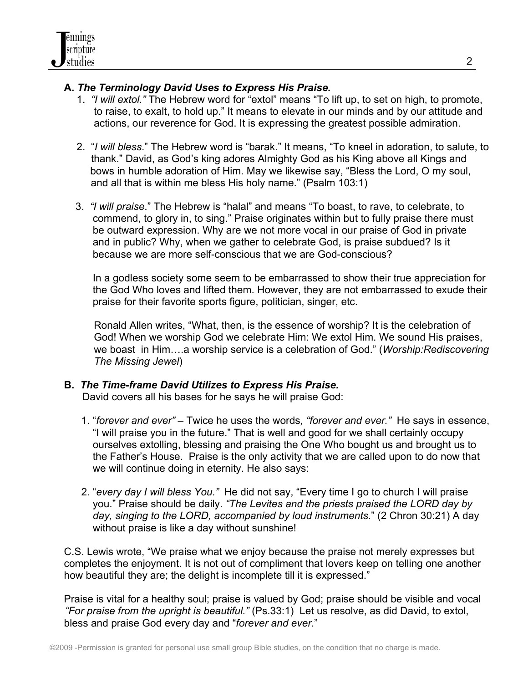

# **A.** *The Terminology David Uses to Express His Praise.*

- 1. *"I will extol."* The Hebrew word for "extol" means "To lift up, to set on high, to promote, to raise, to exalt, to hold up." It means to elevate in our minds and by our attitude and actions, our reverence for God. It is expressing the greatest possible admiration.
- 2. "*I will bless*." The Hebrew word is "barak." It means, "To kneel in adoration, to salute, to thank." David, as God's king adores Almighty God as his King above all Kings and bows in humble adoration of Him. May we likewise say, "Bless the Lord, O my soul, and all that is within me bless His holy name." (Psalm 103:1)
- 3. *"I will praise*." The Hebrew is "halal" and means "To boast, to rave, to celebrate, to commend, to glory in, to sing." Praise originates within but to fully praise there must be outward expression. Why are we not more vocal in our praise of God in private and in public? Why, when we gather to celebrate God, is praise subdued? Is it because we are more self-conscious that we are God-conscious?

 In a godless society some seem to be embarrassed to show their true appreciation for the God Who loves and lifted them. However, they are not embarrassed to exude their praise for their favorite sports figure, politician, singer, etc.

 Ronald Allen writes, "What, then, is the essence of worship? It is the celebration of God! When we worship God we celebrate Him: We extol Him. We sound His praises, we boast in Him….a worship service is a celebration of God." (*Worship:Rediscovering The Missing Jewel*)

- **B.** *The Time-frame David Utilizes to Express His Praise.* David covers all his bases for he says he will praise God:
	- 1. "*forever and ever" –* Twice he uses the words*, "forever and ever."* He says in essence, "I will praise you in the future." That is well and good for we shall certainly occupy ourselves extolling, blessing and praising the One Who bought us and brought us to the Father's House. Praise is the only activity that we are called upon to do now that we will continue doing in eternity. He also says:
	- 2. "*every day I will bless You."* He did not say, "Every time I go to church I will praise you." Praise should be daily. *"The Levites and the priests praised the LORD day by day, singing to the LORD, accompanied by loud instruments.*" (2 Chron 30:21) A day without praise is like a day without sunshine!

 C.S. Lewis wrote, "We praise what we enjoy because the praise not merely expresses but completes the enjoyment. It is not out of compliment that lovers keep on telling one another how beautiful they are; the delight is incomplete till it is expressed."

 Praise is vital for a healthy soul; praise is valued by God; praise should be visible and vocal *"For praise from the upright is beautiful."* (Ps.33:1) Let us resolve, as did David, to extol, bless and praise God every day and "*forever and ever*."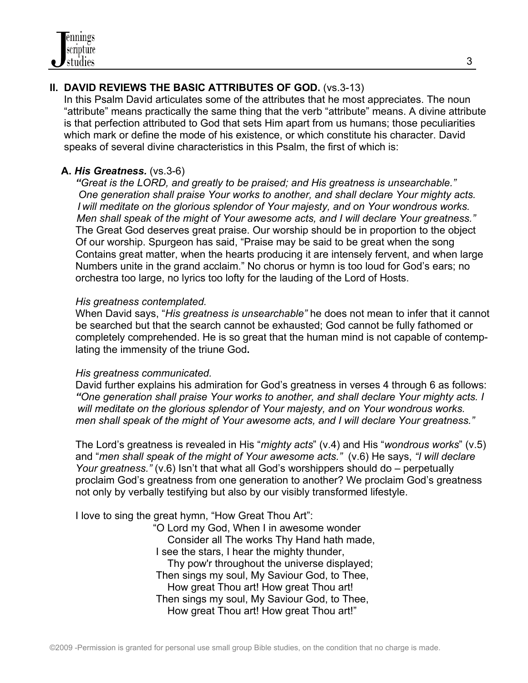# **II. DAVID REVIEWS THE BASIC ATTRIBUTES OF GOD.** (vs.3-13)

 In this Psalm David articulates some of the attributes that he most appreciates. The noun "attribute" means practically the same thing that the verb "attribute" means. A divine attribute is that perfection attributed to God that sets Him apart from us humans; those peculiarities which mark or define the mode of his existence, or which constitute his character. David speaks of several divine characteristics in this Psalm, the first of which is:

# **A.** *His Greatness.* (vs.3-6)

*"Great is the LORD, and greatly to be praised; and His greatness is unsearchable." One generation shall praise Your works to another, and shall declare Your mighty acts. <sup>I</sup> will meditate on the glorious splendor of Your majesty, and on Your wondrous works. Men shall speak of the might of Your awesome acts, and I will declare Your greatness."* The Great God deserves great praise. Our worship should be in proportion to the object Of our worship. Spurgeon has said, "Praise may be said to be great when the song Contains great matter, when the hearts producing it are intensely fervent, and when large Numbers unite in the grand acclaim." No chorus or hymn is too loud for God's ears; no orchestra too large, no lyrics too lofty for the lauding of the Lord of Hosts.

# *His greatness contemplated.*

When David says, "*His greatness is unsearchable"* he does not mean to infer that it cannot be searched but that the search cannot be exhausted; God cannot be fully fathomed or completely comprehended. He is so great that the human mind is not capable of contemp lating the immensity of the triune God**.**

# *His greatness communicated.*

David further explains his admiration for God's greatness in verses 4 through 6 as follows:  *"One generation shall praise Your works to another, and shall declare Your mighty acts. I will meditate on the glorious splendor of Your majesty, and on Your wondrous works. men shall speak of the might of Your awesome acts, and I will declare Your greatness."*

The Lord's greatness is revealed in His "*mighty acts*" (v.4) and His "*wondrous works*" (v.5) and "*men shall speak of the might of Your awesome acts."* (v.6) He says, *"I will declare Your greatness."* (v.6) Isn't that what all God's worshippers should do – perpetually proclaim God's greatness from one generation to another? We proclaim God's greatness not only by verbally testifying but also by our visibly transformed lifestyle.

I love to sing the great hymn, "How Great Thou Art":

 "O Lord my God, When I in awesome wonder Consider all The works Thy Hand hath made, I see the stars, I hear the mighty thunder, Thy pow'r throughout the universe displayed; Then sings my soul, My Saviour God, to Thee, How great Thou art! How great Thou art! Then sings my soul, My Saviour God, to Thee, How great Thou art! How great Thou art!"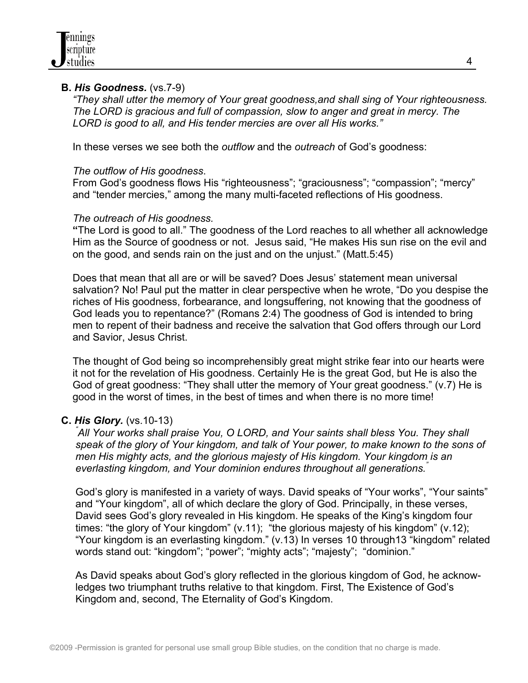

### **B.** *His Goodness.* (vs.7-9)

 *"They shall utter the memory of Your great goodness,and shall sing of Your righteousness. The LORD is gracious and full of compassion, slow to anger and great in mercy. The LORD is good to all, and His tender mercies are over all His works."*

In these verses we see both the *outflow* and the *outreach* of God's goodness:

#### *The outflow of His goodness*.

 From God's goodness flows His "righteousness"; "graciousness"; "compassion"; "mercy" and "tender mercies," among the many multi-faceted reflections of His goodness.

#### *The outreach of His goodness.*

 **"**The Lord is good to all." The goodness of the Lord reaches to all whether all acknowledge Him as the Source of goodness or not. Jesus said, "He makes His sun rise on the evil and on the good, and sends rain on the just and on the unjust." (Matt.5:45)

 Does that mean that all are or will be saved? Does Jesus' statement mean universal salvation? No! Paul put the matter in clear perspective when he wrote, "Do you despise the riches of His goodness, forbearance, and longsuffering, not knowing that the goodness of God leads you to repentance?" (Romans 2:4) The goodness of God is intended to bring men to repent of their badness and receive the salvation that God offers through our Lord and Savior, Jesus Christ.

 The thought of God being so incomprehensibly great might strike fear into our hearts were it not for the revelation of His goodness. Certainly He is the great God, but He is also the God of great goodness: "They shall utter the memory of Your great goodness." (v.7) He is good in the worst of times, in the best of times and when there is no more time!

#### **C.** *His Glory.* (vs.10-13)

 *" All Your works shall praise You, O LORD, and Your saints shall bless You. They shall speak of the glory of Your kingdom, and talk of Your power, to make known to the sons of men His mighty acts, and the glorious majesty of His kingdom. Your kingdom is an everlasting kingdom, and Your dominion endures throughout all generations."*

 God's glory is manifested in a variety of ways. David speaks of "Your works", "Your saints" and "Your kingdom", all of which declare the glory of God. Principally, in these verses, David sees God's glory revealed in His kingdom. He speaks of the King's kingdom four times: "the glory of Your kingdom" (v.11); "the glorious majesty of his kingdom" (v.12); "Your kingdom is an everlasting kingdom." (v.13) In verses 10 through13 "kingdom" related words stand out: "kingdom"; "power"; "mighty acts"; "majesty"; "dominion."

 As David speaks about God's glory reflected in the glorious kingdom of God, he acknow ledges two triumphant truths relative to that kingdom. First, The Existence of God's Kingdom and, second, The Eternality of God's Kingdom.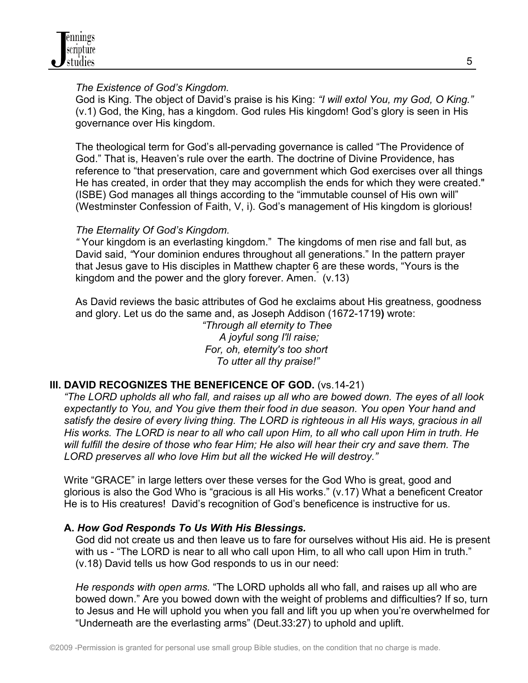# *The Existence of God's Kingdom.*

 God is King. The object of David's praise is his King: *"I will extol You, my God, O King."* (v.1) God, the King, has a kingdom. God rules His kingdom! God's glory is seen in His governance over His kingdom.

 The theological term for God's all-pervading governance is called "The Providence of God." That is, Heaven's rule over the earth. The doctrine of Divine Providence, has reference to "that preservation, care and government which God exercises over all things He has created, in order that they may accomplish the ends for which they were created." (ISBE) God manages all things according to the "immutable counsel of His own will" (Westminster Confession of Faith, V, i). God's management of His kingdom is glorious!

# *The Eternality Of God's Kingdom.*

 *"* Your kingdom is an everlasting kingdom." The kingdoms of men rise and fall but, as David said, *"*Your dominion endures throughout all generations." In the pattern prayer that Jesus gave to His disciples in Matthew chapter 6 are these words, "Yours is the kingdom and the power and the glory forever. Amen.  $(v.13)$ 

 As David reviews the basic attributes of God he exclaims about His greatness, goodness and glory. Let us do the same and, as Joseph Addison (1672-1719**)** wrote:

 *"Through all eternity to Thee A joyful song I'll raise; For, oh, eternity's too short To utter all thy praise!"*

# **III. DAVID RECOGNIZES THE BENEFICENCE OF GOD.** (vs.14-21)

 *"The LORD upholds all who fall, and raises up all who are bowed down. The eyes of all look expectantly to You, and You give them their food in due season. You open Your hand and satisfy the desire of every living thing. The LORD is righteous in all His ways, gracious in all His works. The LORD is near to all who call upon Him, to all who call upon Him in truth. He will fulfill the desire of those who fear Him; He also will hear their cry and save them. The LORD preserves all who love Him but all the wicked He will destroy."*

 Write "GRACE" in large letters over these verses for the God Who is great, good and glorious is also the God Who is "gracious is all His works." (v.17) What a beneficent Creator He is to His creatures! David's recognition of God's beneficence is instructive for us.

# **A.** *How God Responds To Us With His Blessings.*

God did not create us and then leave us to fare for ourselves without His aid. He is present with us - "The LORD is near to all who call upon Him, to all who call upon Him in truth." (v.18) David tells us how God responds to us in our need:

 *He responds with open arms.* "The LORD upholds all who fall, and raises up all who are bowed down." Are you bowed down with the weight of problems and difficulties? If so, turn to Jesus and He will uphold you when you fall and lift you up when you're overwhelmed for "Underneath are the everlasting arms" (Deut.33:27) to uphold and uplift.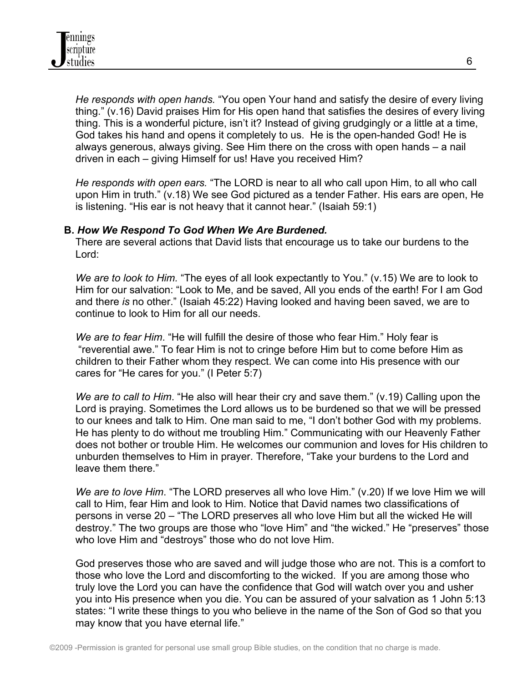*He responds with open hands.* "You open Your hand and satisfy the desire of every living thing." (v.16) David praises Him for His open hand that satisfies the desires of every living thing. This is a wonderful picture, isn't it? Instead of giving grudgingly or a little at a time, God takes his hand and opens it completely to us. He is the open-handed God! He is always generous, always giving. See Him there on the cross with open hands – a nail driven in each – giving Himself for us! Have you received Him?

 *He responds with open ears.* "The LORD is near to all who call upon Him, to all who call upon Him in truth." (v.18) We see God pictured as a tender Father. His ears are open, He is listening. "His ear is not heavy that it cannot hear." (Isaiah 59:1)

### **B.** *How We Respond To God When We Are Burdened.*

There are several actions that David lists that encourage us to take our burdens to the Lord:

 *We are to look to Him.* "The eyes of all look expectantly to You." (v.15) We are to look to Him for our salvation: "Look to Me, and be saved, All you ends of the earth! For I am God and there *is* no other." (Isaiah 45:22) Having looked and having been saved, we are to continue to look to Him for all our needs.

 *We are to fear Him*. "He will fulfill the desire of those who fear Him." Holy fear is "reverential awe." To fear Him is not to cringe before Him but to come before Him as children to their Father whom they respect. We can come into His presence with our cares for "He cares for you." (I Peter 5:7)

 *We are to call to Him*. "He also will hear their cry and save them." (v.19) Calling upon the Lord is praying. Sometimes the Lord allows us to be burdened so that we will be pressed to our knees and talk to Him. One man said to me, "I don't bother God with my problems. He has plenty to do without me troubling Him." Communicating with our Heavenly Father does not bother or trouble Him. He welcomes our communion and loves for His children to unburden themselves to Him in prayer. Therefore, "Take your burdens to the Lord and leave them there."

 *We are to love Him*. "The LORD preserves all who love Him." (v.20) If we love Him we will call to Him, fear Him and look to Him. Notice that David names two classifications of persons in verse 20 – "The LORD preserves all who love Him but all the wicked He will destroy." The two groups are those who "love Him" and "the wicked." He "preserves" those who love Him and "destroys" those who do not love Him.

 God preserves those who are saved and will judge those who are not. This is a comfort to those who love the Lord and discomforting to the wicked. If you are among those who truly love the Lord you can have the confidence that God will watch over you and usher you into His presence when you die. You can be assured of your salvation as 1 John 5:13 states: "I write these things to you who believe in the name of the Son of God so that you may know that you have eternal life."